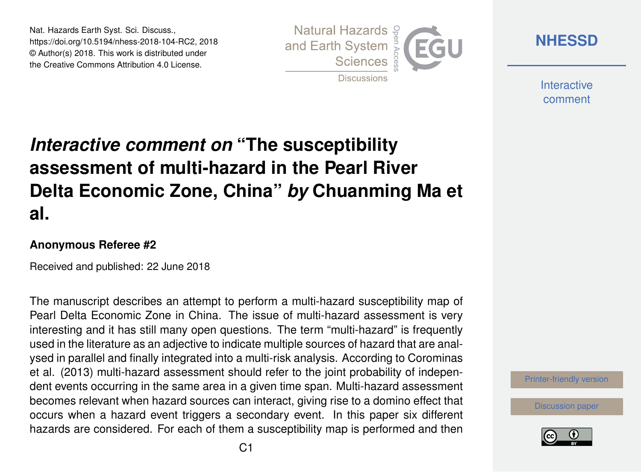Nat. Hazards Earth Syst. Sci. Discuss., https://doi.org/10.5194/nhess-2018-104-RC2, 2018 © Author(s) 2018. This work is distributed under the Creative Commons Attribution 4.0 License.



**[NHESSD](https://www.nat-hazards-earth-syst-sci-discuss.net/)**

**Interactive** comment

## *Interactive comment on* **"The susceptibility assessment of multi-hazard in the Pearl River Delta Economic Zone, China"** *by* **Chuanming Ma et al.**

## **Anonymous Referee #2**

Received and published: 22 June 2018

The manuscript describes an attempt to perform a multi-hazard susceptibility map of Pearl Delta Economic Zone in China. The issue of multi-hazard assessment is very interesting and it has still many open questions. The term "multi-hazard" is frequently used in the literature as an adjective to indicate multiple sources of hazard that are analysed in parallel and finally integrated into a multi-risk analysis. According to Corominas et al. (2013) multi-hazard assessment should refer to the joint probability of independent events occurring in the same area in a given time span. Multi-hazard assessment becomes relevant when hazard sources can interact, giving rise to a domino effect that occurs when a hazard event triggers a secondary event. In this paper six different hazards are considered. For each of them a susceptibility map is performed and then

[Printer-friendly version](https://www.nat-hazards-earth-syst-sci-discuss.net/nhess-2018-104/nhess-2018-104-RC2-print.pdf)

[Discussion paper](https://www.nat-hazards-earth-syst-sci-discuss.net/nhess-2018-104)

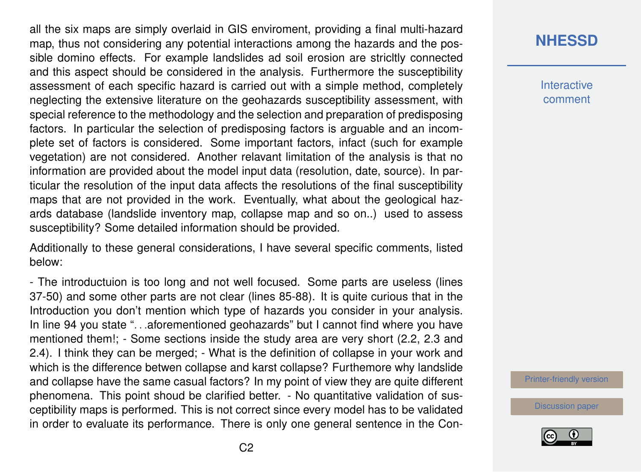all the six maps are simply overlaid in GIS enviroment, providing a final multi-hazard map, thus not considering any potential interactions among the hazards and the possible domino effects. For example landslides ad soil erosion are stricltly connected and this aspect should be considered in the analysis. Furthermore the susceptibility assessment of each specific hazard is carried out with a simple method, completely neglecting the extensive literature on the geohazards susceptibility assessment, with special reference to the methodology and the selection and preparation of predisposing factors. In particular the selection of predisposing factors is arguable and an incomplete set of factors is considered. Some important factors, infact (such for example vegetation) are not considered. Another relavant limitation of the analysis is that no information are provided about the model input data (resolution, date, source). In particular the resolution of the input data affects the resolutions of the final susceptibility maps that are not provided in the work. Eventually, what about the geological hazards database (landslide inventory map, collapse map and so on..) used to assess susceptibility? Some detailed information should be provided.

Additionally to these general considerations, I have several specific comments, listed below:

- The introductuion is too long and not well focused. Some parts are useless (lines 37-50) and some other parts are not clear (lines 85-88). It is quite curious that in the Introduction you don't mention which type of hazards you consider in your analysis. In line 94 you state ". . .aforementioned geohazards" but I cannot find where you have mentioned them!; - Some sections inside the study area are very short (2.2, 2.3 and 2.4). I think they can be merged; - What is the definition of collapse in your work and which is the difference betwen collapse and karst collapse? Furthemore why landslide and collapse have the same casual factors? In my point of view they are quite different phenomena. This point shoud be clarified better. - No quantitative validation of susceptibility maps is performed. This is not correct since every model has to be validated in order to evaluate its performance. There is only one general sentence in the Con**Interactive** comment

[Printer-friendly version](https://www.nat-hazards-earth-syst-sci-discuss.net/nhess-2018-104/nhess-2018-104-RC2-print.pdf)

[Discussion paper](https://www.nat-hazards-earth-syst-sci-discuss.net/nhess-2018-104)